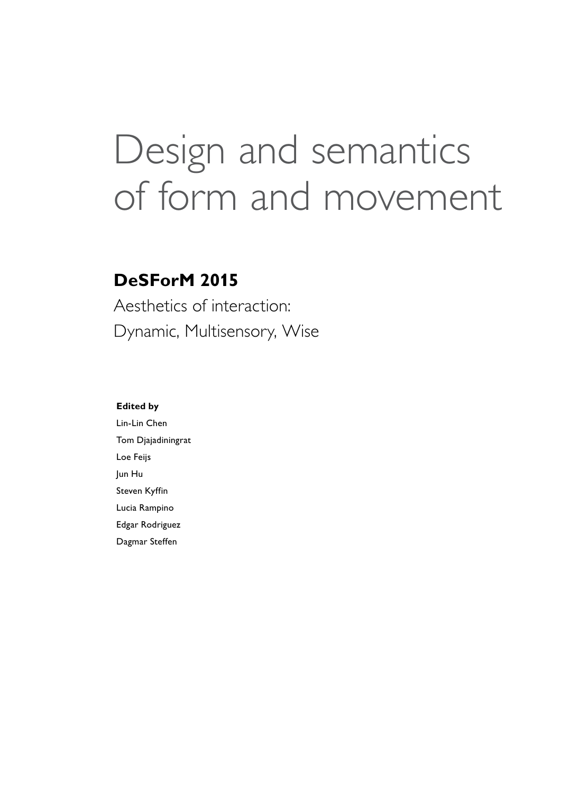# Design and semantics of form and movement

### **DeSForM 2015**

Aesthetics of interaction: Dynamic, Multisensory, Wise

#### **Edited by**

Lin-Lin Chen Tom Djajadiningrat Loe Feijs Jun Hu Steven Kyffin Lucia Rampino Edgar Rodriguez Dagmar Steffen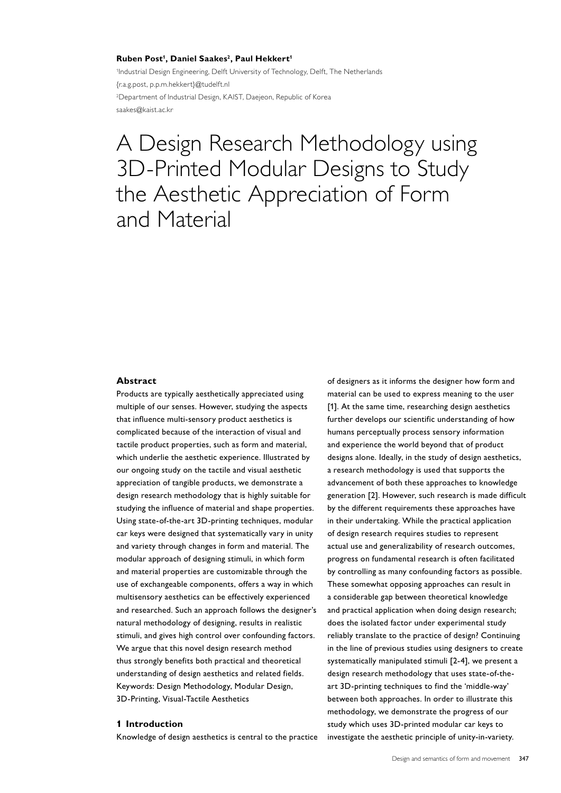#### **Ruben Post1 , Daniel Saakes2, Paul Hekkert1**

<sup>1</sup>Industrial Design Engineering, Delft University of Technology, Delft, The Netherlands {r.a.g.post, p.p.m.hekkert}@tudelft.nl 2 Department of Industrial Design, KAIST, Daejeon, Republic of Korea saakes@kaist.ac.kr

## A Design Research Methodology using 3D-Printed Modular Designs to Study the Aesthetic Appreciation of Form and Material

#### **Abstract**

Products are typically aesthetically appreciated using multiple of our senses. However, studying the aspects that influence multi-sensory product aesthetics is complicated because of the interaction of visual and tactile product properties, such as form and material, which underlie the aesthetic experience. Illustrated by our ongoing study on the tactile and visual aesthetic appreciation of tangible products, we demonstrate a design research methodology that is highly suitable for studying the influence of material and shape properties. Using state-of-the-art 3D-printing techniques, modular car keys were designed that systematically vary in unity and variety through changes in form and material. The modular approach of designing stimuli, in which form and material properties are customizable through the use of exchangeable components, offers a way in which multisensory aesthetics can be effectively experienced and researched. Such an approach follows the designer's natural methodology of designing, results in realistic stimuli, and gives high control over confounding factors. We argue that this novel design research method thus strongly benefits both practical and theoretical understanding of design aesthetics and related fields. Keywords: Design Methodology, Modular Design, 3D-Printing, Visual-Tactile Aesthetics

#### **1 Introduction**

Knowledge of design aesthetics is central to the practice

of designers as it informs the designer how form and material can be used to express meaning to the user [1]. At the same time, researching design aesthetics further develops our scientific understanding of how humans perceptually process sensory information and experience the world beyond that of product designs alone. Ideally, in the study of design aesthetics, a research methodology is used that supports the advancement of both these approaches to knowledge generation [2]. However, such research is made difficult by the different requirements these approaches have in their undertaking. While the practical application of design research requires studies to represent actual use and generalizability of research outcomes, progress on fundamental research is often facilitated by controlling as many confounding factors as possible. These somewhat opposing approaches can result in a considerable gap between theoretical knowledge and practical application when doing design research; does the isolated factor under experimental study reliably translate to the practice of design? Continuing in the line of previous studies using designers to create systematically manipulated stimuli [2-4], we present a design research methodology that uses state-of-theart 3D-printing techniques to find the 'middle-way' between both approaches. In order to illustrate this methodology, we demonstrate the progress of our study which uses 3D-printed modular car keys to investigate the aesthetic principle of unity-in-variety.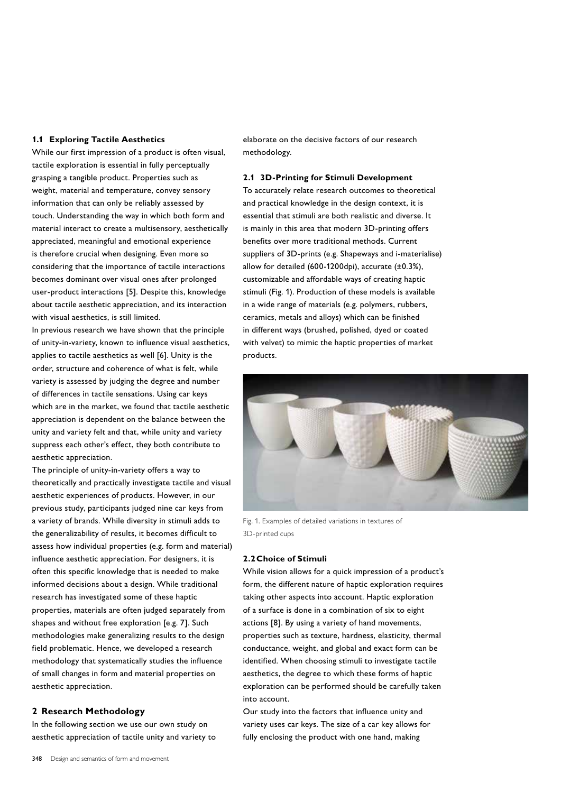#### **1.1 Exploring Tactile Aesthetics**

While our first impression of a product is often visual, tactile exploration is essential in fully perceptually grasping a tangible product. Properties such as weight, material and temperature, convey sensory information that can only be reliably assessed by touch. Understanding the way in which both form and material interact to create a multisensory, aesthetically appreciated, meaningful and emotional experience is therefore crucial when designing. Even more so considering that the importance of tactile interactions becomes dominant over visual ones after prolonged user-product interactions [5]. Despite this, knowledge about tactile aesthetic appreciation, and its interaction with visual aesthetics, is still limited.

In previous research we have shown that the principle of unity-in-variety, known to influence visual aesthetics, applies to tactile aesthetics as well [6]. Unity is the order, structure and coherence of what is felt, while variety is assessed by judging the degree and number of differences in tactile sensations. Using car keys which are in the market, we found that tactile aesthetic appreciation is dependent on the balance between the unity and variety felt and that, while unity and variety suppress each other's effect, they both contribute to aesthetic appreciation.

The principle of unity-in-variety offers a way to theoretically and practically investigate tactile and visual aesthetic experiences of products. However, in our previous study, participants judged nine car keys from a variety of brands. While diversity in stimuli adds to the generalizability of results, it becomes difficult to assess how individual properties (e.g. form and material) influence aesthetic appreciation. For designers, it is often this specific knowledge that is needed to make informed decisions about a design. While traditional research has investigated some of these haptic properties, materials are often judged separately from shapes and without free exploration [e.g. 7]. Such methodologies make generalizing results to the design field problematic. Hence, we developed a research methodology that systematically studies the influence of small changes in form and material properties on aesthetic appreciation.

#### **2 Research Methodology**

In the following section we use our own study on aesthetic appreciation of tactile unity and variety to elaborate on the decisive factors of our research methodology.

#### **2.1 3D-Printing for Stimuli Development**

To accurately relate research outcomes to theoretical and practical knowledge in the design context, it is essential that stimuli are both realistic and diverse. It is mainly in this area that modern 3D-printing offers benefits over more traditional methods. Current suppliers of 3D-prints (e.g. Shapeways and i-materialise) allow for detailed (600-1200dpi), accurate  $(\pm 0.3\%)$ , customizable and affordable ways of creating haptic stimuli (Fig. 1). Production of these models is available in a wide range of materials (e.g. polymers, rubbers, ceramics, metals and alloys) which can be finished in different ways (brushed, polished, dyed or coated with velvet) to mimic the haptic properties of market products.



Fig. 1. Examples of detailed variations in textures of 3D-printed cups

#### **2.2Choice of Stimuli**

While vision allows for a quick impression of a product's form, the different nature of haptic exploration requires taking other aspects into account. Haptic exploration of a surface is done in a combination of six to eight actions [8]. By using a variety of hand movements, properties such as texture, hardness, elasticity, thermal conductance, weight, and global and exact form can be identified. When choosing stimuli to investigate tactile aesthetics, the degree to which these forms of haptic exploration can be performed should be carefully taken into account.

Our study into the factors that influence unity and variety uses car keys. The size of a car key allows for fully enclosing the product with one hand, making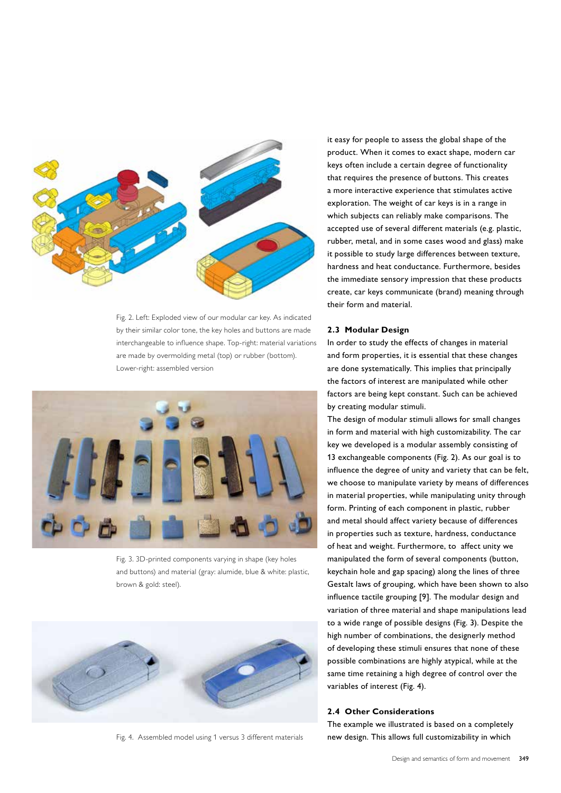

Fig. 2. Left: Exploded view of our modular car key. As indicated by their similar color tone, the key holes and buttons are made interchangeable to influence shape. Top-right: material variations are made by overmolding metal (top) or rubber (bottom). Lower-right: assembled version



Fig. 3. 3D-printed components varying in shape (key holes and buttons) and material (gray: alumide, blue & white: plastic, brown & gold: steel).



Fig. 4. Assembled model using 1 versus 3 different materials

it easy for people to assess the global shape of the product. When it comes to exact shape, modern car keys often include a certain degree of functionality that requires the presence of buttons. This creates a more interactive experience that stimulates active exploration. The weight of car keys is in a range in which subjects can reliably make comparisons. The accepted use of several different materials (e.g. plastic, rubber, metal, and in some cases wood and glass) make it possible to study large differences between texture, hardness and heat conductance. Furthermore, besides the immediate sensory impression that these products create, car keys communicate (brand) meaning through their form and material.

#### **2.3 Modular Design**

In order to study the effects of changes in material and form properties, it is essential that these changes are done systematically. This implies that principally the factors of interest are manipulated while other factors are being kept constant. Such can be achieved by creating modular stimuli.

The design of modular stimuli allows for small changes in form and material with high customizability. The car key we developed is a modular assembly consisting of 13 exchangeable components (Fig. 2). As our goal is to influence the degree of unity and variety that can be felt, we choose to manipulate variety by means of differences in material properties, while manipulating unity through form. Printing of each component in plastic, rubber and metal should affect variety because of differences in properties such as texture, hardness, conductance of heat and weight. Furthermore, to affect unity we manipulated the form of several components (button, keychain hole and gap spacing) along the lines of three Gestalt laws of grouping, which have been shown to also influence tactile grouping [9]. The modular design and variation of three material and shape manipulations lead to a wide range of possible designs (Fig. 3). Despite the high number of combinations, the designerly method of developing these stimuli ensures that none of these possible combinations are highly atypical, while at the same time retaining a high degree of control over the variables of interest (Fig. 4).

#### **2.4 Other Considerations**

The example we illustrated is based on a completely new design. This allows full customizability in which